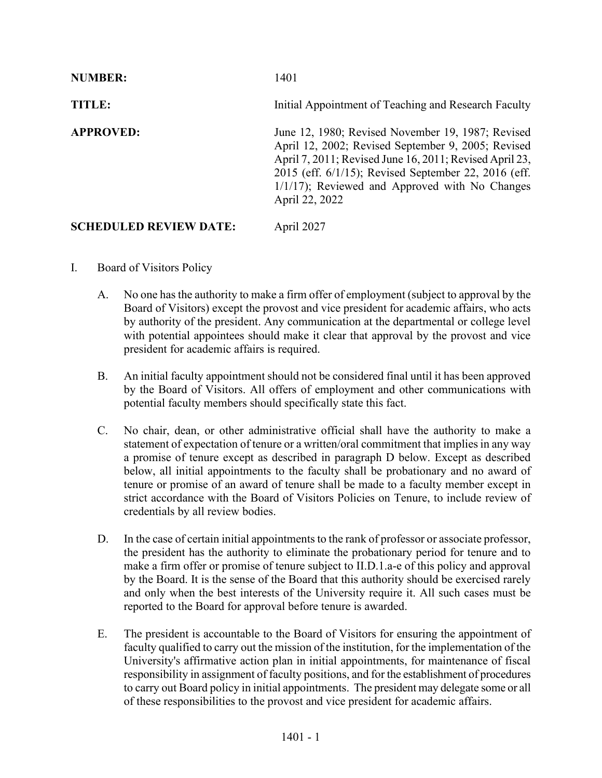| <b>NUMBER:</b>                | 1401                                                                                                                                                                                                                                                                                             |
|-------------------------------|--------------------------------------------------------------------------------------------------------------------------------------------------------------------------------------------------------------------------------------------------------------------------------------------------|
| TITLE:                        | Initial Appointment of Teaching and Research Faculty                                                                                                                                                                                                                                             |
| <b>APPROVED:</b>              | June 12, 1980; Revised November 19, 1987; Revised<br>April 12, 2002; Revised September 9, 2005; Revised<br>April 7, 2011; Revised June 16, 2011; Revised April 23,<br>2015 (eff. 6/1/15); Revised September 22, 2016 (eff.<br>$1/1/17$ ; Reviewed and Approved with No Changes<br>April 22, 2022 |
| <b>SCHEDULED REVIEW DATE:</b> | April 2027                                                                                                                                                                                                                                                                                       |

## I. Board of Visitors Policy

- A. No one has the authority to make a firm offer of employment (subject to approval by the Board of Visitors) except the provost and vice president for academic affairs, who acts by authority of the president. Any communication at the departmental or college level with potential appointees should make it clear that approval by the provost and vice president for academic affairs is required.
- B. An initial faculty appointment should not be considered final until it has been approved by the Board of Visitors. All offers of employment and other communications with potential faculty members should specifically state this fact.
- C. No chair, dean, or other administrative official shall have the authority to make a statement of expectation of tenure or a written/oral commitment that implies in any way a promise of tenure except as described in paragraph D below. Except as described below, all initial appointments to the faculty shall be probationary and no award of tenure or promise of an award of tenure shall be made to a faculty member except in strict accordance with the Board of Visitors Policies on Tenure, to include review of credentials by all review bodies.
- D. In the case of certain initial appointments to the rank of professor or associate professor, the president has the authority to eliminate the probationary period for tenure and to make a firm offer or promise of tenure subject to II.D.1.a-e of this policy and approval by the Board. It is the sense of the Board that this authority should be exercised rarely and only when the best interests of the University require it. All such cases must be reported to the Board for approval before tenure is awarded.
- E. The president is accountable to the Board of Visitors for ensuring the appointment of faculty qualified to carry out the mission of the institution, for the implementation of the University's affirmative action plan in initial appointments, for maintenance of fiscal responsibility in assignment of faculty positions, and for the establishment of procedures to carry out Board policy in initial appointments. The president may delegate some or all of these responsibilities to the provost and vice president for academic affairs.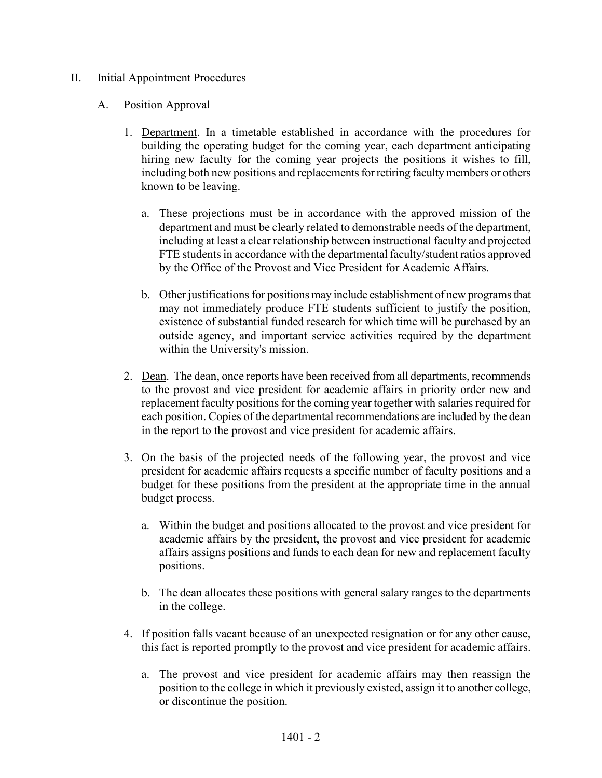## II. Initial Appointment Procedures

## A. Position Approval

- 1. Department. In a timetable established in accordance with the procedures for building the operating budget for the coming year, each department anticipating hiring new faculty for the coming year projects the positions it wishes to fill, including both new positions and replacements for retiring faculty members or others known to be leaving.
	- a. These projections must be in accordance with the approved mission of the department and must be clearly related to demonstrable needs of the department, including at least a clear relationship between instructional faculty and projected FTE students in accordance with the departmental faculty/student ratios approved by the Office of the Provost and Vice President for Academic Affairs.
	- b. Other justifications for positions may include establishment of new programs that may not immediately produce FTE students sufficient to justify the position, existence of substantial funded research for which time will be purchased by an outside agency, and important service activities required by the department within the University's mission.
- 2. Dean. The dean, once reports have been received from all departments, recommends to the provost and vice president for academic affairs in priority order new and replacement faculty positions for the coming year together with salaries required for each position. Copies of the departmental recommendations are included by the dean in the report to the provost and vice president for academic affairs.
- 3. On the basis of the projected needs of the following year, the provost and vice president for academic affairs requests a specific number of faculty positions and a budget for these positions from the president at the appropriate time in the annual budget process.
	- a. Within the budget and positions allocated to the provost and vice president for academic affairs by the president, the provost and vice president for academic affairs assigns positions and funds to each dean for new and replacement faculty positions.
	- b. The dean allocates these positions with general salary ranges to the departments in the college.
- 4. If position falls vacant because of an unexpected resignation or for any other cause, this fact is reported promptly to the provost and vice president for academic affairs.
	- a. The provost and vice president for academic affairs may then reassign the position to the college in which it previously existed, assign it to another college, or discontinue the position.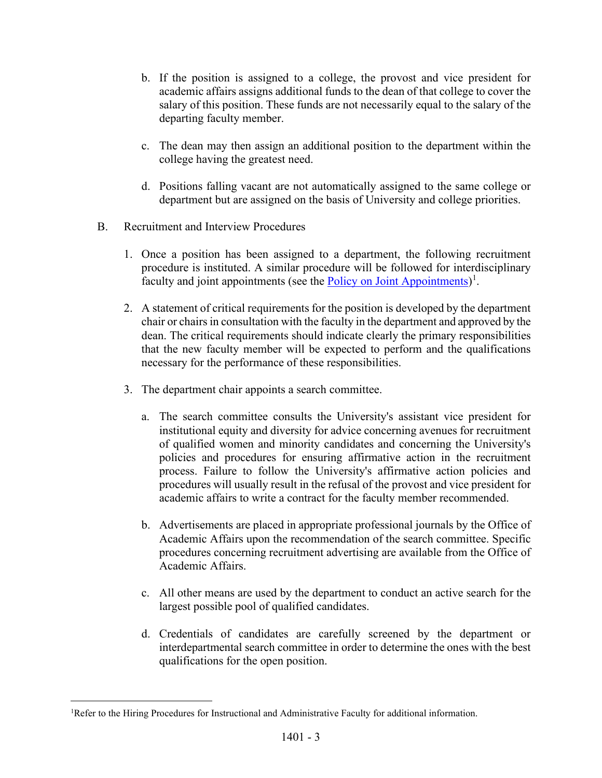- b. If the position is assigned to a college, the provost and vice president for academic affairs assigns additional funds to the dean of that college to cover the salary of this position. These funds are not necessarily equal to the salary of the departing faculty member.
- c. The dean may then assign an additional position to the department within the college having the greatest need.
- d. Positions falling vacant are not automatically assigned to the same college or department but are assigned on the basis of University and college priorities.
- B. Recruitment and Interview Procedures
	- 1. Once a position has been assigned to a department, the following recruitment procedure is instituted. A similar procedure will be followed for interdisciplinary faculty and joint appointments (see the **Policy on Joint Appointments**)<sup>[1](#page-2-0)</sup>.
	- 2. A statement of critical requirements for the position is developed by the department chair or chairs in consultation with the faculty in the department and approved by the dean. The critical requirements should indicate clearly the primary responsibilities that the new faculty member will be expected to perform and the qualifications necessary for the performance of these responsibilities.
	- 3. The department chair appoints a search committee.
		- a. The search committee consults the University's assistant vice president for institutional equity and diversity for advice concerning avenues for recruitment of qualified women and minority candidates and concerning the University's policies and procedures for ensuring affirmative action in the recruitment process. Failure to follow the University's affirmative action policies and procedures will usually result in the refusal of the provost and vice president for academic affairs to write a contract for the faculty member recommended.
		- b. Advertisements are placed in appropriate professional journals by the Office of Academic Affairs upon the recommendation of the search committee. Specific procedures concerning recruitment advertising are available from the Office of Academic Affairs.
		- c. All other means are used by the department to conduct an active search for the largest possible pool of qualified candidates.
		- d. Credentials of candidates are carefully screened by the department or interdepartmental search committee in order to determine the ones with the best qualifications for the open position.

<span id="page-2-0"></span><sup>&</sup>lt;sup>1</sup>Refer to the Hiring Procedures for Instructional and Administrative Faculty for additional information.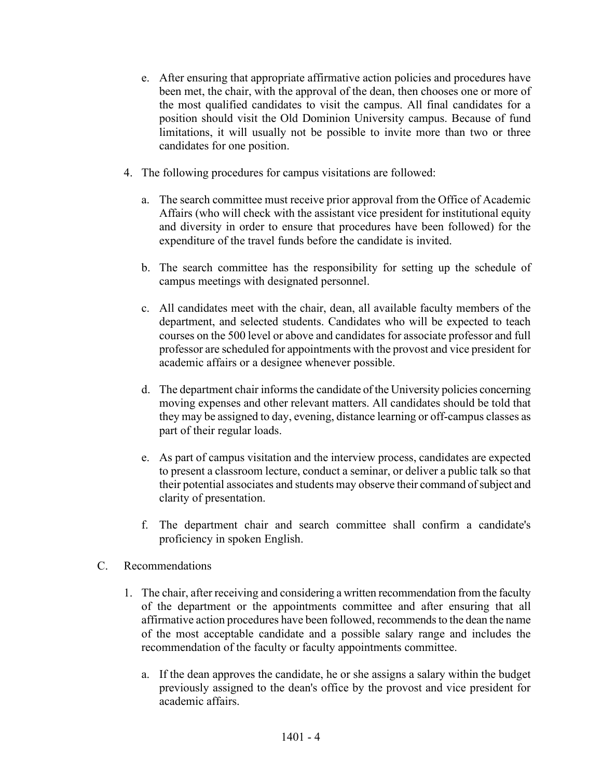- e. After ensuring that appropriate affirmative action policies and procedures have been met, the chair, with the approval of the dean, then chooses one or more of the most qualified candidates to visit the campus. All final candidates for a position should visit the Old Dominion University campus. Because of fund limitations, it will usually not be possible to invite more than two or three candidates for one position.
- 4. The following procedures for campus visitations are followed:
	- a. The search committee must receive prior approval from the Office of Academic Affairs (who will check with the assistant vice president for institutional equity and diversity in order to ensure that procedures have been followed) for the expenditure of the travel funds before the candidate is invited.
	- b. The search committee has the responsibility for setting up the schedule of campus meetings with designated personnel.
	- c. All candidates meet with the chair, dean, all available faculty members of the department, and selected students. Candidates who will be expected to teach courses on the 500 level or above and candidates for associate professor and full professor are scheduled for appointments with the provost and vice president for academic affairs or a designee whenever possible.
	- d. The department chair informs the candidate of the University policies concerning moving expenses and other relevant matters. All candidates should be told that they may be assigned to day, evening, distance learning or off-campus classes as part of their regular loads.
	- e. As part of campus visitation and the interview process, candidates are expected to present a classroom lecture, conduct a seminar, or deliver a public talk so that their potential associates and students may observe their command of subject and clarity of presentation.
	- f. The department chair and search committee shall confirm a candidate's proficiency in spoken English.
- C. Recommendations
	- 1. The chair, after receiving and considering a written recommendation from the faculty of the department or the appointments committee and after ensuring that all affirmative action procedures have been followed, recommends to the dean the name of the most acceptable candidate and a possible salary range and includes the recommendation of the faculty or faculty appointments committee.
		- a. If the dean approves the candidate, he or she assigns a salary within the budget previously assigned to the dean's office by the provost and vice president for academic affairs.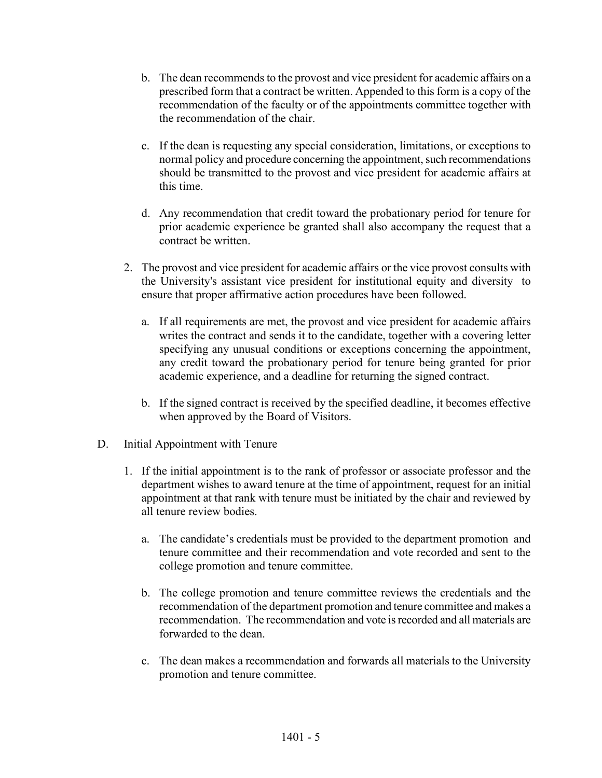- b. The dean recommends to the provost and vice president for academic affairs on a prescribed form that a contract be written. Appended to this form is a copy of the recommendation of the faculty or of the appointments committee together with the recommendation of the chair.
- c. If the dean is requesting any special consideration, limitations, or exceptions to normal policy and procedure concerning the appointment, such recommendations should be transmitted to the provost and vice president for academic affairs at this time.
- d. Any recommendation that credit toward the probationary period for tenure for prior academic experience be granted shall also accompany the request that a contract be written.
- 2. The provost and vice president for academic affairs or the vice provost consults with the University's assistant vice president for institutional equity and diversity to ensure that proper affirmative action procedures have been followed.
	- a. If all requirements are met, the provost and vice president for academic affairs writes the contract and sends it to the candidate, together with a covering letter specifying any unusual conditions or exceptions concerning the appointment, any credit toward the probationary period for tenure being granted for prior academic experience, and a deadline for returning the signed contract.
	- b. If the signed contract is received by the specified deadline, it becomes effective when approved by the Board of Visitors.
- D. Initial Appointment with Tenure
	- 1. If the initial appointment is to the rank of professor or associate professor and the department wishes to award tenure at the time of appointment, request for an initial appointment at that rank with tenure must be initiated by the chair and reviewed by all tenure review bodies.
		- a. The candidate's credentials must be provided to the department promotion and tenure committee and their recommendation and vote recorded and sent to the college promotion and tenure committee.
		- b. The college promotion and tenure committee reviews the credentials and the recommendation of the department promotion and tenure committee and makes a recommendation. The recommendation and vote is recorded and all materials are forwarded to the dean.
		- c. The dean makes a recommendation and forwards all materials to the University promotion and tenure committee.